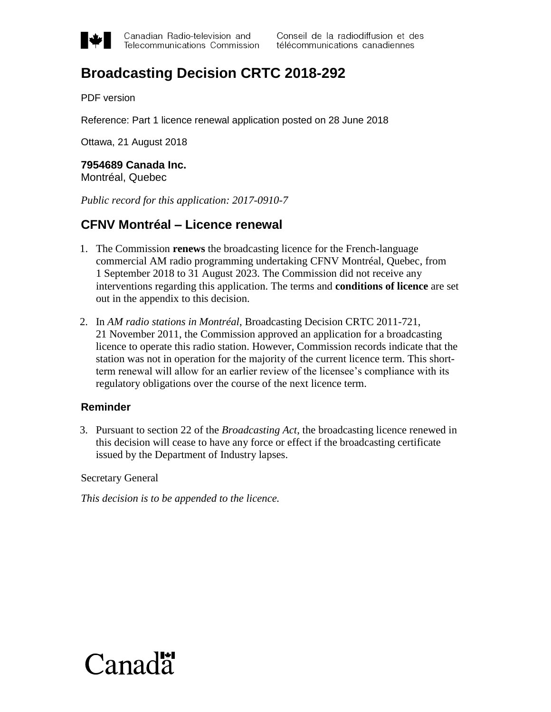

Canadian Radio-television and Telecommunications Commission

# **Broadcasting Decision CRTC 2018-292**

PDF version

Reference: Part 1 licence renewal application posted on 28 June 2018

Ottawa, 21 August 2018

## **7954689 Canada Inc.**

Montréal, Quebec

*Public record for this application: 2017-0910-7*

### **CFNV Montréal – Licence renewal**

- 1. The Commission **renews** the broadcasting licence for the French-language commercial AM radio programming undertaking CFNV Montréal, Quebec, from 1 September 2018 to 31 August 2023. The Commission did not receive any interventions regarding this application. The terms and **conditions of licence** are set out in the appendix to this decision.
- 2. In *AM radio stations in Montréal*, Broadcasting Decision CRTC 2011-721, 21 November 2011, the Commission approved an application for a broadcasting licence to operate this radio station. However, Commission records indicate that the station was not in operation for the majority of the current licence term. This shortterm renewal will allow for an earlier review of the licensee's compliance with its regulatory obligations over the course of the next licence term.

#### **Reminder**

3. Pursuant to section 22 of the *Broadcasting Act*, the broadcasting licence renewed in this decision will cease to have any force or effect if the broadcasting certificate issued by the Department of Industry lapses.

Secretary General

*This decision is to be appended to the licence.*

# $C$ anada